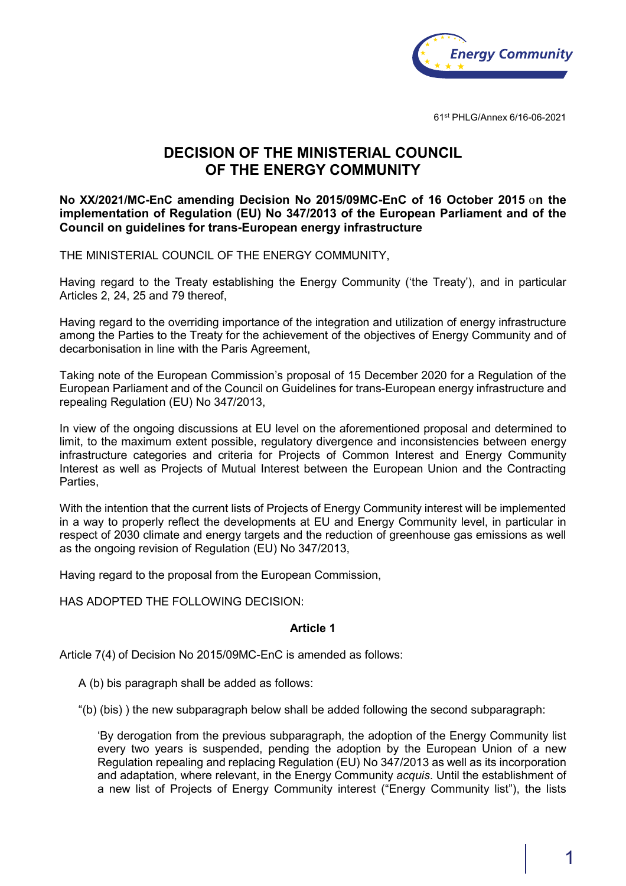

61st PHLG/Annex 6/16-06-2021

## **DECISION OF THE MINISTERIAL COUNCIL OF THE ENERGY COMMUNITY**

## **No XX/2021/MC-EnC amending Decision No 2015/09MC-EnC of 16 October 2015** o**n the implementation of Regulation (EU) No 347/2013 of the European Parliament and of the Council on guidelines for trans-European energy infrastructure**

THE MINISTERIAL COUNCIL OF THE ENERGY COMMUNITY,

Having regard to the Treaty establishing the Energy Community ('the Treaty'), and in particular Articles 2, 24, 25 and 79 thereof,

Having regard to the overriding importance of the integration and utilization of energy infrastructure among the Parties to the Treaty for the achievement of the objectives of Energy Community and of decarbonisation in line with the Paris Agreement,

Taking note of the European Commission's proposal of 15 December 2020 for a Regulation of the European Parliament and of the Council on Guidelines for trans-European energy infrastructure and repealing Regulation (EU) No 347/2013,

In view of the ongoing discussions at EU level on the aforementioned proposal and determined to limit, to the maximum extent possible, regulatory divergence and inconsistencies between energy infrastructure categories and criteria for Projects of Common Interest and Energy Community Interest as well as Projects of Mutual Interest between the European Union and the Contracting Parties,

With the intention that the current lists of Projects of Energy Community interest will be implemented in a way to properly reflect the developments at EU and Energy Community level, in particular in respect of 2030 climate and energy targets and the reduction of greenhouse gas emissions as well as the ongoing revision of Regulation (EU) No 347/2013,

Having regard to the proposal from the European Commission,

HAS ADOPTED THE FOLLOWING DECISION:

## **Article 1**

Article 7(4) of Decision No 2015/09MC-EnC is amended as follows:

A (b) bis paragraph shall be added as follows:

"(b) (bis) ) the new subparagraph below shall be added following the second subparagraph:

'By derogation from the previous subparagraph, the adoption of the Energy Community list every two years is suspended, pending the adoption by the European Union of a new Regulation repealing and replacing Regulation (EU) No 347/2013 as well as its incorporation and adaptation, where relevant, in the Energy Community *acquis*. Until the establishment of a new list of Projects of Energy Community interest ("Energy Community list"), the lists